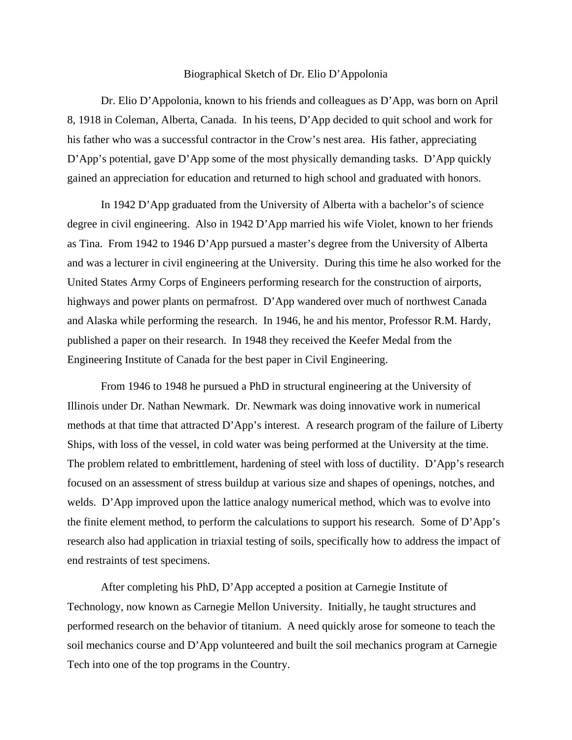## Biographical Sketch of Dr. Elio D'Appolonia

Dr. Elio D'Appolonia, known to his friends and colleagues as D'App, was born on April 8, 1918 in Coleman, Alberta, Canada. In his teens, D'App decided to quit school and work for his father who was a successful contractor in the Crow's nest area. His father, appreciating D'App's potential, gave D'App some of the most physically demanding tasks. D'App quickly gained an appreciation for education and returned to high school and graduated with honors.

In 1942 D'App graduated from the University of Alberta with a bachelor's of science degree in civil engineering. Also in 1942 D'App married his wife Violet, known to her friends as Tina. From 1942 to 1946 D'App pursued a master's degree from the University of Alberta and was a lecturer in civil engineering at the University. During this time he also worked for the United States Army Corps of Engineers performing research for the construction of airports, highways and power plants on permafrost. D'App wandered over much of northwest Canada and Alaska while performing the research. In 1946, he and his mentor, Professor R.M. Hardy, published a paper on their research. In 1948 they received the Keefer Medal from the Engineering Institute of Canada for the best paper in Civil Engineering.

From 1946 to 1948 he pursued a PhD in structural engineering at the University of Illinois under Dr. Nathan Newmark. Dr. Newmark was doing innovative work in numerical methods at that time that attracted D'App's interest. A research program of the failure of Liberty Ships, with loss of the vessel, in cold water was being performed at the University at the time. The problem related to embrittlement, hardening of steel with loss of ductility. D'App's research focused on an assessment of stress buildup at various size and shapes of openings, notches, and welds. D'App improved upon the lattice analogy numerical method, which was to evolve into the finite element method, to perform the calculations to support his research. Some of D'App's research also had application in triaxial testing of soils, specifically how to address the impact of end restraints of test specimens.

After completing his PhD, D'App accepted a position at Carnegie Institute of Technology, now known as Carnegie Mellon University. Initially, he taught structures and performed research on the behavior of titanium. A need quickly arose for someone to teach the soil mechanics course and D'App volunteered and built the soil mechanics program at Carnegie Tech into one of the top programs in the Country.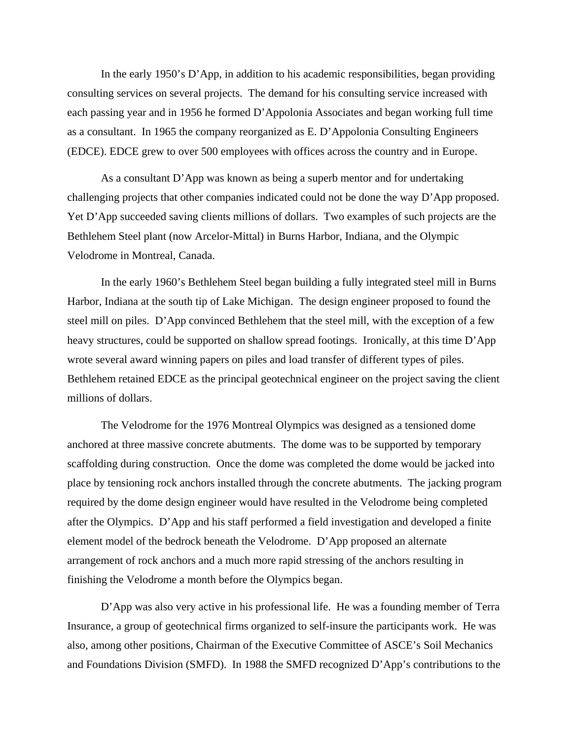In the early 1950's D'App, in addition to his academic responsibilities, began providing consulting services on several projects. The demand for his consulting service increased with each passing year and in 1956 he formed D'Appolonia Associates and began working full time as a consultant. In 1965 the company reorganized as E. D'Appolonia Consulting Engineers (EDCE). EDCE grew to over 500 employees with offices across the country and in Europe.

As a consultant D'App was known as being a superb mentor and for undertaking challenging projects that other companies indicated could not be done the way D'App proposed. Yet D'App succeeded saving clients millions of dollars. Two examples of such projects are the Bethlehem Steel plant (now Arcelor-Mittal) in Burns Harbor, Indiana, and the Olympic Velodrome in Montreal, Canada.

In the early 1960's Bethlehem Steel began building a fully integrated steel mill in Burns Harbor, Indiana at the south tip of Lake Michigan. The design engineer proposed to found the steel mill on piles. D'App convinced Bethlehem that the steel mill, with the exception of a few heavy structures, could be supported on shallow spread footings. Ironically, at this time D'App wrote several award winning papers on piles and load transfer of different types of piles. Bethlehem retained EDCE as the principal geotechnical engineer on the project saving the client millions of dollars.

The Velodrome for the 1976 Montreal Olympics was designed as a tensioned dome anchored at three massive concrete abutments. The dome was to be supported by temporary scaffolding during construction. Once the dome was completed the dome would be jacked into place by tensioning rock anchors installed through the concrete abutments. The jacking program required by the dome design engineer would have resulted in the Velodrome being completed after the Olympics. D'App and his staff performed a field investigation and developed a finite element model of the bedrock beneath the Velodrome. D'App proposed an alternate arrangement of rock anchors and a much more rapid stressing of the anchors resulting in finishing the Velodrome a month before the Olympics began.

D'App was also very active in his professional life. He was a founding member of Terra Insurance, a group of geotechnical firms organized to self-insure the participants work. He was also, among other positions, Chairman of the Executive Committee of ASCE's Soil Mechanics and Foundations Division (SMFD). In 1988 the SMFD recognized D'App's contributions to the